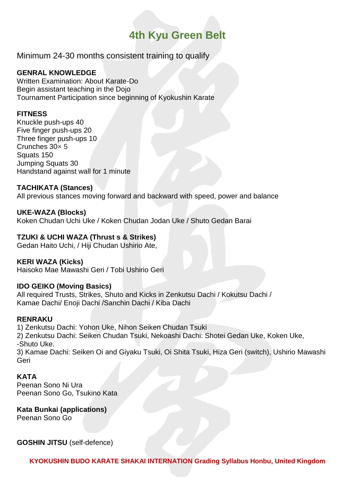# **4th Kyu Green Belt**

Minimum 24-30 months consistent training to qualify

## **GENRAL KNOWLEDGE**

Written Examination: About Karate-Do Begin assistant teaching in the Dojo Tournament Participation since beginning of Kyokushin Karate

### **FITNESS**

Knuckle push-ups 40 Five finger push-ups 20 Three finger push-ups 10 Crunches 30× 5 Squats 150 Jumping Squats 30 Handstand against wall for 1 minute

### **TACHIKATA (Stances)**

All previous stances moving forward and backward with speed, power and balance

### **UKE-WAZA (Blocks)**

Koken Chudan Uchi Uke / Koken Chudan Jodan Uke / Shuto Gedan Barai

### **TZUKI & UCHI WAZA (Thrust s & Strikes)**

Gedan Haito Uchi, / Hiji Chudan Ushirio Ate,

#### **KERI WAZA (Kicks)**

Haisoko Mae Mawashi Geri / Tobi Ushirio Geri

#### **IDO GEIKO (Moving Basics)**

All required Trusts, Strikes, Shuto and Kicks in Zenkutsu Dachi / Kokutsu Dachi / Kamae Dachi/ Enoji Dachi /Sanchin Dachi / Kiba Dachi

#### **RENRAKU**

1) Zenkutsu Dachi: Yohon Uke, Nihon Seiken Chudan Tsuki 2) Zenkutsu Dachi: Seiken Chudan Tsuki, Nekoashi Dachi: Shotei Gedan Uke, Koken Uke, -Shuto Uke.

3) Kamae Dachi: Seiken Oi and Giyaku Tsuki, Oi Shita Tsuki, Hiza Geri (switch), Ushirio Mawashi Geri

#### **KATA**

Peenan Sono Ni Ura Peenan Sono Go, Tsukino Kata

#### **Kata Bunkai (applications)** Peenan Sono Go

**GOSHIN JITSU** (self-defence)

**KYOKUSHIN BUDO KARATE SHAKAI INTERNATION Grading Syllabus Honbu, United Kingdom**